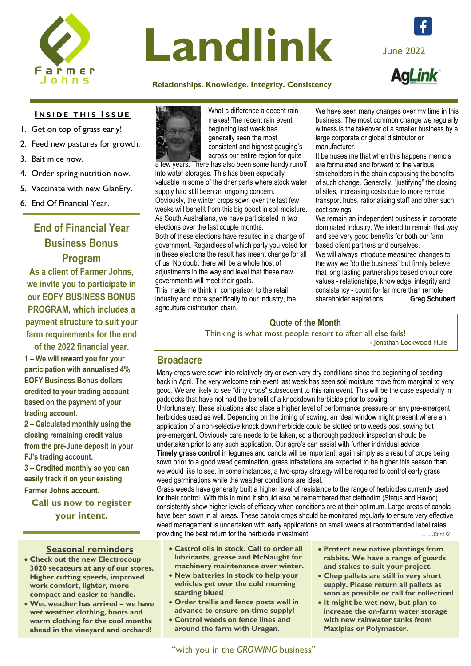

# Landlink June 2022

### **[Relati](https://www.facebook.com/farmerjohnssa)onships. Knowledge. Integrity. Consistency**

We have seen many changes over my time in this

**INSIDE THIS ISSUE** 

- 1. Get on top of grass early!
- 2. Feed new pastures for growth.
- 3. Bait mice now.
- 4. Order spring nutrition now.
- 5. Vaccinate with new GlanEry.
- 6. End Of Financial Year.

# **End of Financial Year Business Bonus Program**

**As a client of Farmer Johns, we invite you to participate in our EOFY BUSINESS BONUS PROGRAM, which includes a payment structure to suit your farm requirements for the end of the 2022 financial year.**

**1 – We will reward you for your participation with annualised 4% EOFY Business Bonus dollars credited to your trading account based on the payment of your trading account.** 

**2 – Calculated monthly using the closing remaining credit value from the pre-June deposit in your FJ's trading account.**

**3 – Credited monthly so you can easily track it on your existing Farmer Johns account.**

**Call us now to register your intent.**

# **Seasonal reminders**

- **Check out the new Electrocoup 3020 secateurs at any of our stores. Higher cutting speeds, improved work comfort, lighter, more compact and easier to handle.**
- **Wet weather has arrived – we have wet weather clothing, boots and warm clothing for the cool months ahead in the vineyard and orchard!**



What a difference a decent rain makes! The recent rain event beginning last week has generally seen the most consistent and highest gauging's across our entire region for quite

a few years. There has also been some handy runoff into water storages. This has been especially valuable in some of the drier parts where stock water supply had still been an ongoing concern. Obviously, the winter crops sown over the last few weeks will benefit from this big boost in soil moisture. As South Australians, we have participated in two elections over the last couple months.

Both of these elections have resulted in a change of government. Regardless of which party you voted for in these elections the result has meant change for all of us. No doubt there will be a whole host of adjustments in the way and level that these new governments will meet their goals.

This made me think in comparison to the retail industry and more specifically to our industry, the agriculture distribution chain.

business. The most common change we regularly witness is the takeover of a smaller business by a large corporate or global distributor or manufacturer.

It bemuses me that when this happens memo's are formulated and forward to the various stakeholders in the chain espousing the benefits of such change. Generally, "justifying" the closing of sites, increasing costs due to more remote transport hubs, rationalising staff and other such cost savings.

We remain an independent business in corporate dominated industry. We intend to remain that way and see very good benefits for both our farm based client partners and ourselves.

We will always introduce measured changes to the way we "do the business" but firmly believe that long lasting partnerships based on our core values - relationships, knowledge, integrity and consistency - count for far more than remote shareholder aspirations! **Greg Schubert** 

# **Quote of the Month**

Thinking is what most people resort to after all else fails! - Jonathan Lockwood Huie

# **Broadacre**

Many crops were sown into relatively dry or even very dry conditions since the beginning of seeding back in April. The very welcome rain event last week has seen soil moisture move from marginal to very good. We are likely to see "dirty crops" subsequent to this rain event. This will be the case especially in paddocks that have not had the benefit of a knockdown herbicide prior to sowing.

Unfortunately, these situations also place a higher level of performance pressure on any pre-emergent herbicides used as well. Depending on the timing of sowing, an ideal window might present where an application of a non-selective knock down herbicide could be slotted onto weeds post sowing but pre-emergent. Obviously care needs to be taken, so a thorough paddock inspection should be undertaken prior to any such application. Our agro's can assist with further individual advice.

**Timely grass control** in legumes and canola will be important, again simply as a result of crops being sown prior to a good weed germination, grass infestations are expected to be higher this season than we would like to see. In some instances, a two-spray strategy will be required to control early grass weed germinations while the weather conditions are ideal.

Grass weeds have generally built a higher level of resistance to the range of herbicides currently used for their control. With this in mind it should also be remembered that clethodim (Status and Havoc) consistently show higher levels of efficacy when conditions are at their optimum. Large areas of canola have been sown in all areas. These canola crops should be monitored regularly to ensure very effective weed management is undertaken with early applications on small weeds at recommended label rates providing the best return for the herbicide investment.

- **Castrol oils in stock. Call to order all lubricants, grease and McNaught for machinery maintenance over winter.**
- **New batteries in stock to help your vehicles get over the cold morning starting blues!**
- **Order trellis and fence posts well in advance to ensure on-time supply!**
- **Control weeds on fence lines and around the farm with Uragan.**
- **Protect new native plantings from rabbits. We have a range of guards and stakes to suit your project.**
- **Chep pallets are still in very short supply. Please return all pallets as soon as possible or call for collection!**
- **It might be wet now, but plan to increase the on-farm water storage with new rainwater tanks from Maxiplas or Polymaster.**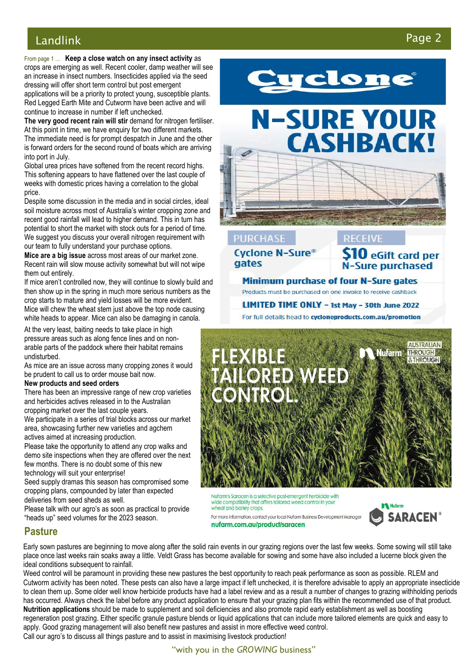# Landlink Page 2

From page 1 … **Keep a close watch on any insect activity** as crops are emerging as well. Recent cooler, damp weather will see an increase in insect numbers. Insecticides applied via the seed dressing will offer short term control but post emergent applications will be a priority to protect young, susceptible plants. Red Legged Earth Mite and Cutworm have been active and will continue to increase in number if left unchecked.

**The very good recent rain will stir** demand for nitrogen fertiliser. At this point in time, we have enquiry for two different markets. The immediate need is for prompt despatch in June and the other is forward orders for the second round of boats which are arriving into port in July.

Global urea prices have softened from the recent record highs. This softening appears to have flattened over the last couple of weeks with domestic prices having a correlation to the global price.

**,** Despite some discussion in the media and in social circles, ideal soil moisture across most of Australia's winter cropping zone and recent good rainfall will lead to higher demand. This in turn has potential to short the market with stock outs for a period of time. We suggest you discuss your overall nitrogen requirement with our team to fully understand your purchase options.

**Mice are a big issue** across most areas of our market zone. Recent rain will slow mouse activity somewhat but will not wipe them out entirely.

If mice aren't controlled now, they will continue to slowly build and then show up in the spring in much more serious numbers as the crop starts to mature and yield losses will be more evident. Mice will chew the wheat stem just above the top node causing white heads to appear. Mice can also be damaging in canola.

At the very least, baiting needs to take place in high pressure areas such as along fence lines and on nonarable parts of the paddock where their habitat remains undisturbed.

As mice are an issue across many cropping zones it would be prudent to call us to order mouse bait now.

### **New products and seed orders**

There has been an impressive range of new crop varieties and herbicides actives released in to the Australian

cropping market over the last couple years. We participate in a series of trial blocks across our market

area, showcasing further new varieties and agchem actives aimed at increasing production.

Please take the opportunity to attend any crop walks and demo site inspections when they are offered over the next few months. There is no doubt some of this new technology will suit your enterprise!

Seed supply dramas this season has compromised some cropping plans, compounded by later than expected deliveries from seed sheds as well.

Please talk with our agro's as soon as practical to provide "heads up" seed volumes for the 2023 season.



# **N-SURE YOUR CASHBACK!**

# **PURCHASE**

**Cyclone N-Sure®** gates

 $\mathbf 0$  eGift card per N-Sure purchased

**RECEIVE** 

Minimum purchase of four N-Sure gates Products must be purchased on one invoice to receive cashback

LIMITED TIME ONLY - 1st May - 30th June 2022 For full details head to cycloneproducts.com.au/promotion



Nufarm's Saracen is a selective post-emergent herbicide with wide compatibility that offers tailored weed control in your wheat and barley crops For more information, contact your local Nufarm Business Development Manager

nufarm.com.au/product/saracen

**Nufarm SARACEN®** 

# **Pasture**

Early sown pastures are beginning to move along after the solid rain events in our grazing regions over the last few weeks. Some sowing will still take place once last weeks rain soaks away a little. Veldt Grass has become available for sowing and some have also included a lucerne block given the ideal conditions subsequent to rainfall.

Weed control will be paramount in providing these new pastures the best opportunity to reach peak performance as soon as possible. RLEM and Cutworm activity has been noted. These pests can also have a large impact if left unchecked, it is therefore advisable to apply an appropriate insecticide to clean them up. Some older well know herbicide products have had a label review and as a result a number of changes to grazing withholding periods has occurred. Always check the label before any product application to ensure that your grazing plan fits within the recommended use of that product. **Nutrition applications** should be made to supplement and soil deficiencies and also promote rapid early establishment as well as boosting regeneration post grazing. Either specific granule pasture blends or liquid applications that can include more tailored elements are quick and easy to apply. Good grazing management will also benefit new pastures and assist in more effective weed control. Call our agro's to discuss all things pasture and to assist in maximising livestock production!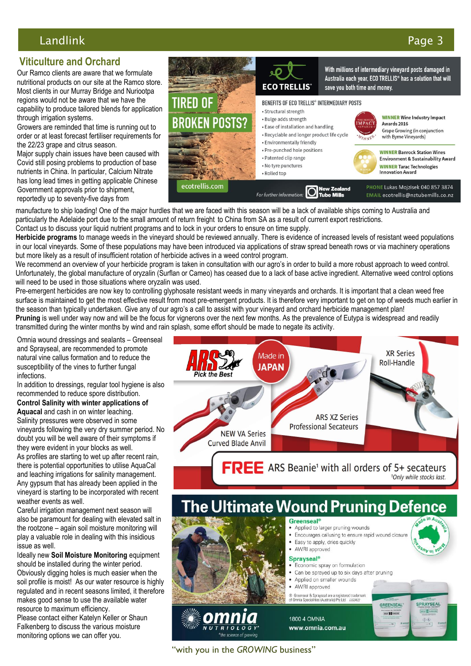# Landlink Page 3

# **Viticulture and Orchard**

Our Ramco clients are aware that we formulate nutritional products on our site at the Ramco store. Most clients in our Murray Bridge and Nuriootpa regions would not be aware that we have the capability to produce tailored blends for application through irrigation systems.

Growers are reminded that time is running out to order or at least forecast fertiliser requirements for the 22/23 grape and citrus season.

Major supply chain issues have been caused with Covid still posing problems to production of base nutrients in China. In particular, Calcium Nitrate has long lead times in getting applicable Chinese Government approvals prior to shipment, reportedly up to seventy-five days from



manufacture to ship loading! One of the major hurdles that we are faced with this season will be a lack of available ships coming to Australia and particularly the Adelaide port due to the small amount of return freight to China from SA as a result of current export restrictions. Contact us to discuss your liquid nutrient programs and to lock in your orders to ensure on time supply.

**Herbicide programs** to manage weeds in the vineyard should be reviewed annually. There is evidence of increased levels of resistant weed populations in our local vineyards. Some of these populations may have been introduced via applications of straw spread beneath rows or via machinery operations but more likely as a result of insufficient rotation of herbicide actives in a weed control program.

We recommend an overview of your herbicide program is taken in consultation with our agro's in order to build a more robust approach to weed control. Unfortunately, the global manufacture of oryzalin (Surflan or Cameo) has ceased due to a lack of base active ingredient. Alternative weed control options will need to be used in those situations where oryzalin was used.

Pre-emergent herbicides are now key to controlling glyphosate resistant weeds in many vineyards and orchards. It is important that a clean weed free surface is maintained to get the most effective result from most pre-emergent products. It is therefore very important to get on top of weeds much earlier in the season than typically undertaken. Give any of our agro's a call to assist with your vineyard and orchard herbicide management plan! **Pruning** is well under way now and will be the focus for vignerons over the next few months. As the prevalence of Eutypa is widespread and readily transmitted during the winter months by wind and rain splash, some effort should be made to negate its activity.

Omnia wound dressings and sealants – Greenseal and Sprayseal, are recommended to promote natural vine callus formation and to reduce the susceptibility of the vines to further fungal infections.

In addition to dressings, regular tool hygiene is also recommended to reduce spore distribution.

**Control Salinity with winter applications of** 

**Aquacal** and cash in on winter leaching. Salinity pressures were observed in some vineyards following the very dry summer period. No doubt you will be well aware of their symptoms if they were evident in your blocks as well. As profiles are starting to wet up after recent rain, there is potential opportunities to utilise AquaCal and leaching irrigations for salinity management. Any gypsum that has already been applied in the vineyard is starting to be incorporated with recent weather events as well.

Careful irrigation management next season will also be paramount for dealing with elevated salt in the rootzone – again soil moisture monitoring will play a valuable role in dealing with this insidious issue as well.

Ideally new **Soil Moisture Monitoring** equipment should be installed during the winter period. Obviously digging holes is much easier when the soil profile is moist! As our water resource is highly regulated and in recent seasons limited, it therefore makes good sense to use the available water resource to maximum efficiency.

Please contact either Katelyn Keller or Shaun Falkenberg to discuss the various moisture monitoring options we can offer you.



FREE ARS Beanie<sup>1</sup> with all orders of 5+ secateurs <sup>1</sup>Only while stocks last.

# The Ultimate Wound Pruning Defence



"with you in the *GROWING* business"